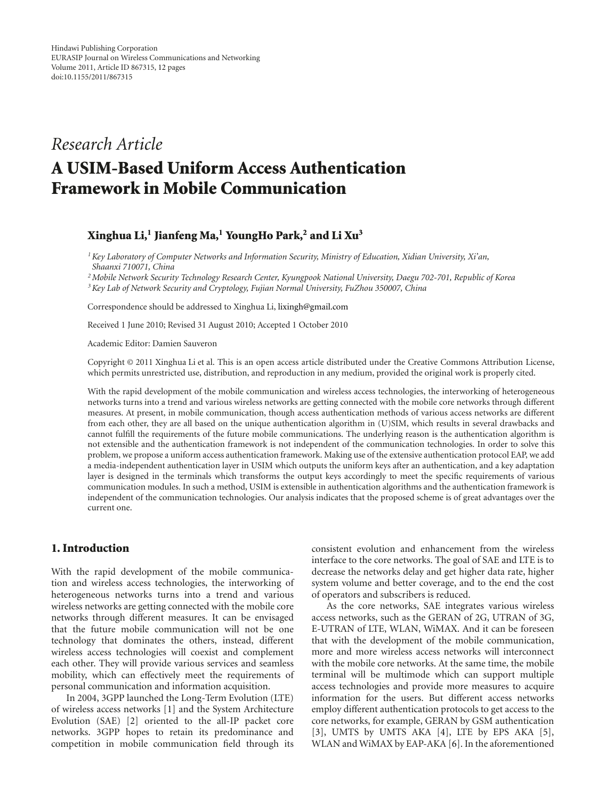# *Research Article*

# **A USIM-Based Uniform Access Authentication Framework in Mobile Communication**

## **Xinghua Li,1 Jianfeng Ma,1 YoungHo Park,2 and Li Xu3**

*1Key Laboratory of Computer Networks and Information Security, Ministry of Education, Xidian University, Xi'an, Shaanxi 710071, China*

*2Mobile Network Security Technology Research Center, Kyungpook National University, Daegu 702-701, Republic of Korea*

*3Key Lab of Network Security and Cryptology, Fujian Normal University, FuZhou 350007, China*

Correspondence should be addressed to Xinghua Li, lixingh@gmail.com

Received 1 June 2010; Revised 31 August 2010; Accepted 1 October 2010

Academic Editor: Damien Sauveron

Copyright © 2011 Xinghua Li et al. This is an open access article distributed under the Creative Commons Attribution License, which permits unrestricted use, distribution, and reproduction in any medium, provided the original work is properly cited.

With the rapid development of the mobile communication and wireless access technologies, the interworking of heterogeneous networks turns into a trend and various wireless networks are getting connected with the mobile core networks through different measures. At present, in mobile communication, though access authentication methods of various access networks are different from each other, they are all based on the unique authentication algorithm in (U)SIM, which results in several drawbacks and cannot fulfill the requirements of the future mobile communications. The underlying reason is the authentication algorithm is not extensible and the authentication framework is not independent of the communication technologies. In order to solve this problem, we propose a uniform access authentication framework. Making use of the extensive authentication protocol EAP, we add a media-independent authentication layer in USIM which outputs the uniform keys after an authentication, and a key adaptation layer is designed in the terminals which transforms the output keys accordingly to meet the specific requirements of various communication modules. In such a method, USIM is extensible in authentication algorithms and the authentication framework is independent of the communication technologies. Our analysis indicates that the proposed scheme is of great advantages over the current one.

#### **1. Introduction**

With the rapid development of the mobile communication and wireless access technologies, the interworking of heterogeneous networks turns into a trend and various wireless networks are getting connected with the mobile core networks through different measures. It can be envisaged that the future mobile communication will not be one technology that dominates the others, instead, different wireless access technologies will coexist and complement each other. They will provide various services and seamless mobility, which can effectively meet the requirements of personal communication and information acquisition.

In 2004, 3GPP launched the Long-Term Evolution (LTE) of wireless access networks [1] and the System Architecture Evolution (SAE) [2] oriented to the all-IP packet core networks. 3GPP hopes to retain its predominance and competition in mobile communication field through its

consistent evolution and enhancement from the wireless interface to the core networks. The goal of SAE and LTE is to decrease the networks delay and get higher data rate, higher system volume and better coverage, and to the end the cost of operators and subscribers is reduced.

As the core networks, SAE integrates various wireless access networks, such as the GERAN of 2G, UTRAN of 3G, E-UTRAN of LTE, WLAN, WiMAX. And it can be foreseen that with the development of the mobile communication, more and more wireless access networks will interconnect with the mobile core networks. At the same time, the mobile terminal will be multimode which can support multiple access technologies and provide more measures to acquire information for the users. But different access networks employ different authentication protocols to get access to the core networks, for example, GERAN by GSM authentication [3], UMTS by UMTS AKA [4], LTE by EPS AKA [5], WLAN and WiMAX by EAP-AKA [6]. In the aforementioned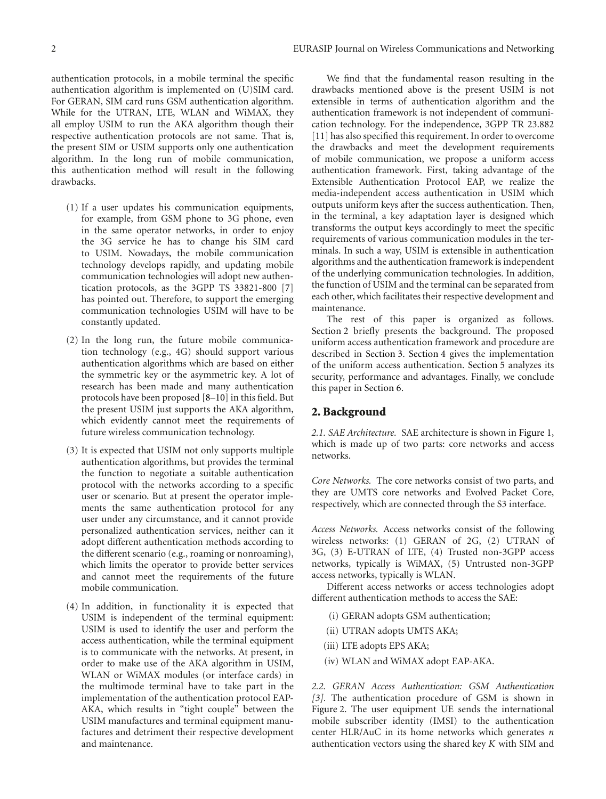authentication protocols, in a mobile terminal the specific authentication algorithm is implemented on (U)SIM card. For GERAN, SIM card runs GSM authentication algorithm. While for the UTRAN, LTE, WLAN and WiMAX, they all employ USIM to run the AKA algorithm though their respective authentication protocols are not same. That is, the present SIM or USIM supports only one authentication algorithm. In the long run of mobile communication, this authentication method will result in the following drawbacks.

- (1) If a user updates his communication equipments, for example, from GSM phone to 3G phone, even in the same operator networks, in order to enjoy the 3G service he has to change his SIM card to USIM. Nowadays, the mobile communication technology develops rapidly, and updating mobile communication technologies will adopt new authentication protocols, as the 3GPP TS 33821-800 [7] has pointed out. Therefore, to support the emerging communication technologies USIM will have to be constantly updated.
- (2) In the long run, the future mobile communication technology (e.g., 4G) should support various authentication algorithms which are based on either the symmetric key or the asymmetric key. A lot of research has been made and many authentication protocols have been proposed [8–10] in this field. But the present USIM just supports the AKA algorithm, which evidently cannot meet the requirements of future wireless communication technology.
- (3) It is expected that USIM not only supports multiple authentication algorithms, but provides the terminal the function to negotiate a suitable authentication protocol with the networks according to a specific user or scenario. But at present the operator implements the same authentication protocol for any user under any circumstance, and it cannot provide personalized authentication services, neither can it adopt different authentication methods according to the different scenario (e.g., roaming or nonroaming), which limits the operator to provide better services and cannot meet the requirements of the future mobile communication.
- (4) In addition, in functionality it is expected that USIM is independent of the terminal equipment: USIM is used to identify the user and perform the access authentication, while the terminal equipment is to communicate with the networks. At present, in order to make use of the AKA algorithm in USIM, WLAN or WiMAX modules (or interface cards) in the multimode terminal have to take part in the implementation of the authentication protocol EAP-AKA, which results in "tight couple" between the USIM manufactures and terminal equipment manufactures and detriment their respective development and maintenance.

We find that the fundamental reason resulting in the drawbacks mentioned above is the present USIM is not extensible in terms of authentication algorithm and the authentication framework is not independent of communication technology. For the independence, 3GPP TR 23.882 [11] has also specified this requirement. In order to overcome the drawbacks and meet the development requirements of mobile communication, we propose a uniform access authentication framework. First, taking advantage of the Extensible Authentication Protocol EAP, we realize the media-independent access authentication in USIM which outputs uniform keys after the success authentication. Then, in the terminal, a key adaptation layer is designed which transforms the output keys accordingly to meet the specific requirements of various communication modules in the terminals. In such a way, USIM is extensible in authentication algorithms and the authentication framework is independent of the underlying communication technologies. In addition, the function of USIM and the terminal can be separated from each other, which facilitates their respective development and maintenance.

The rest of this paper is organized as follows. Section 2 briefly presents the background. The proposed uniform access authentication framework and procedure are described in Section 3. Section 4 gives the implementation of the uniform access authentication. Section 5 analyzes its security, performance and advantages. Finally, we conclude this paper in Section 6.

#### **2. Background**

*2.1. SAE Architecture.* SAE architecture is shown in Figure 1, which is made up of two parts: core networks and access networks.

*Core Networks.* The core networks consist of two parts, and they are UMTS core networks and Evolved Packet Core, respectively, which are connected through the S3 interface.

*Access Networks.* Access networks consist of the following wireless networks: (1) GERAN of 2G, (2) UTRAN of 3G, (3) E-UTRAN of LTE, (4) Trusted non-3GPP access networks, typically is WiMAX, (5) Untrusted non-3GPP access networks, typically is WLAN.

Different access networks or access technologies adopt different authentication methods to access the SAE:

- (i) GERAN adopts GSM authentication;
- (ii) UTRAN adopts UMTS AKA;
- (iii) LTE adopts EPS AKA;
- (iv) WLAN and WiMAX adopt EAP-AKA.

*2.2. GERAN Access Authentication: GSM Authentication [3].* The authentication procedure of GSM is shown in Figure 2. The user equipment UE sends the international mobile subscriber identity (IMSI) to the authentication center HLR/AuC in its home networks which generates *n* authentication vectors using the shared key *K* with SIM and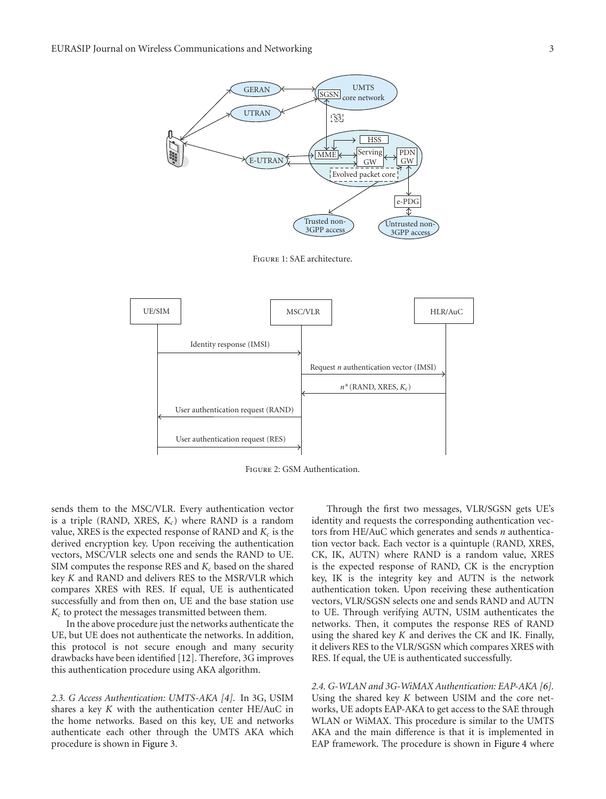

Figure 1: SAE architecture.



Figure 2: GSM Authentication.

sends them to the MSC/VLR. Every authentication vector is a triple (RAND, XRES,  $K_c$ ) where RAND is a random value, XRES is the expected response of RAND and  $K_c$  is the derived encryption key. Upon receiving the authentication vectors, MSC/VLR selects one and sends the RAND to UE. SIM computes the response RES and  $K_c$  based on the shared key *K* and RAND and delivers RES to the MSR/VLR which compares XRES with RES. If equal, UE is authenticated successfully and from then on, UE and the base station use *Kc* to protect the messages transmitted between them.

In the above procedure just the networks authenticate the UE, but UE does not authenticate the networks. In addition, this protocol is not secure enough and many security drawbacks have been identified [12]. Therefore, 3G improves this authentication procedure using AKA algorithm.

*2.3. G Access Authentication: UMTS-AKA [4].* In 3G, USIM shares a key *K* with the authentication center HE/AuC in the home networks. Based on this key, UE and networks authenticate each other through the UMTS AKA which procedure is shown in Figure 3.

Through the first two messages, VLR/SGSN gets UE's identity and requests the corresponding authentication vectors from HE/AuC which generates and sends *n* authentication vector back. Each vector is a quintuple (RAND, XRES, CK, IK, AUTN) where RAND is a random value, XRES is the expected response of RAND, CK is the encryption key, IK is the integrity key and AUTN is the network authentication token. Upon receiving these authentication vectors, VLR/SGSN selects one and sends RAND and AUTN to UE. Through verifying AUTN, USIM authenticates the networks. Then, it computes the response RES of RAND using the shared key *K* and derives the CK and IK. Finally, it delivers RES to the VLR/SGSN which compares XRES with RES. If equal, the UE is authenticated successfully.

*2.4. G-WLAN and 3G-WiMAX Authentication: EAP-AKA [6].* Using the shared key *K* between USIM and the core networks, UE adopts EAP-AKA to get access to the SAE through WLAN or WiMAX. This procedure is similar to the UMTS AKA and the main difference is that it is implemented in EAP framework. The procedure is shown in Figure 4 where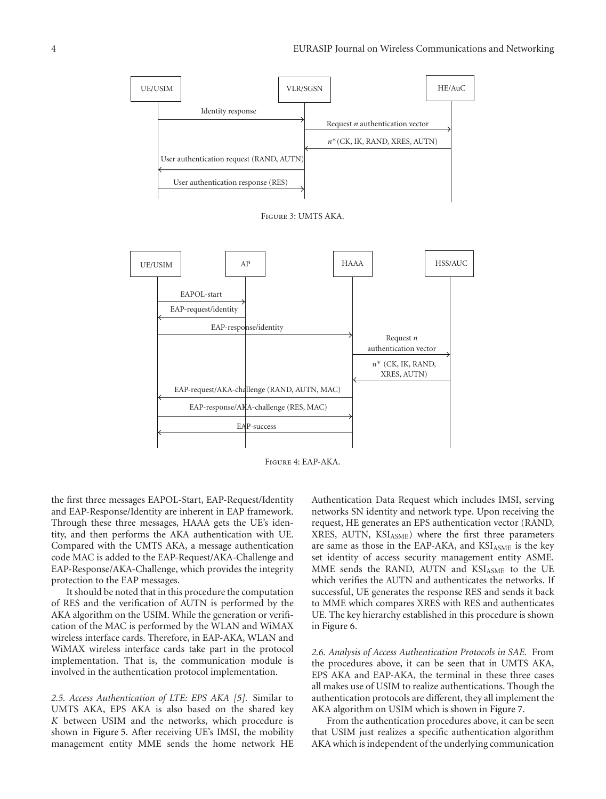

Figure 4: EAP-AKA.

the first three messages EAPOL-Start, EAP-Request/Identity and EAP-Response/Identity are inherent in EAP framework. Through these three messages, HAAA gets the UE's identity, and then performs the AKA authentication with UE. Compared with the UMTS AKA, a message authentication code MAC is added to the EAP-Request/AKA-Challenge and EAP-Response/AKA-Challenge, which provides the integrity protection to the EAP messages.

It should be noted that in this procedure the computation of RES and the verification of AUTN is performed by the AKA algorithm on the USIM. While the generation or verification of the MAC is performed by the WLAN and WiMAX wireless interface cards. Therefore, in EAP-AKA, WLAN and WiMAX wireless interface cards take part in the protocol implementation. That is, the communication module is involved in the authentication protocol implementation.

*2.5. Access Authentication of LTE: EPS AKA [5].* Similar to UMTS AKA, EPS AKA is also based on the shared key *K* between USIM and the networks, which procedure is shown in Figure 5. After receiving UE's IMSI, the mobility management entity MME sends the home network HE

Authentication Data Request which includes IMSI, serving networks SN identity and network type. Upon receiving the request, HE generates an EPS authentication vector (RAND, XRES, AUTN,  $KSI<sub>ASME</sub>$ ) where the first three parameters are same as those in the EAP-AKA, and KSIASME is the key set identity of access security management entity ASME. MME sends the RAND, AUTN and  $KSI<sub>ASME</sub>$  to the UE which verifies the AUTN and authenticates the networks. If successful, UE generates the response RES and sends it back to MME which compares XRES with RES and authenticates UE. The key hierarchy established in this procedure is shown in Figure 6.

*2.6. Analysis of Access Authentication Protocols in SAE.* From the procedures above, it can be seen that in UMTS AKA, EPS AKA and EAP-AKA, the terminal in these three cases all makes use of USIM to realize authentications. Though the authentication protocols are different, they all implement the AKA algorithm on USIM which is shown in Figure 7.

From the authentication procedures above, it can be seen that USIM just realizes a specific authentication algorithm AKA which is independent of the underlying communication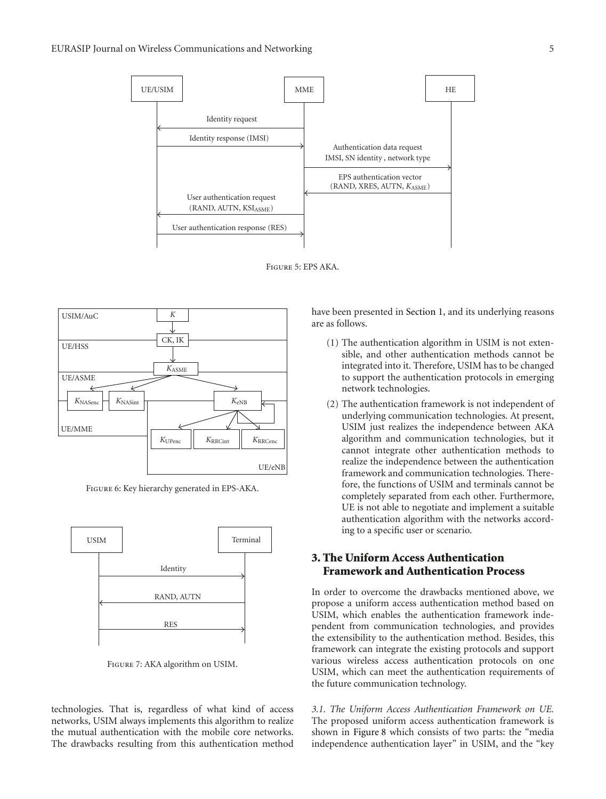





Figure 6: Key hierarchy generated in EPS-AKA.



Figure 7: AKA algorithm on USIM.

technologies. That is, regardless of what kind of access networks, USIM always implements this algorithm to realize the mutual authentication with the mobile core networks. The drawbacks resulting from this authentication method

have been presented in Section 1, and its underlying reasons are as follows.

- (1) The authentication algorithm in USIM is not extensible, and other authentication methods cannot be integrated into it. Therefore, USIM has to be changed to support the authentication protocols in emerging network technologies.
- (2) The authentication framework is not independent of underlying communication technologies. At present, USIM just realizes the independence between AKA algorithm and communication technologies, but it cannot integrate other authentication methods to realize the independence between the authentication framework and communication technologies. Therefore, the functions of USIM and terminals cannot be completely separated from each other. Furthermore, UE is not able to negotiate and implement a suitable authentication algorithm with the networks according to a specific user or scenario.

# **3. The Uniform Access Authentication Framework and Authentication Process**

In order to overcome the drawbacks mentioned above, we propose a uniform access authentication method based on USIM, which enables the authentication framework independent from communication technologies, and provides the extensibility to the authentication method. Besides, this framework can integrate the existing protocols and support various wireless access authentication protocols on one USIM, which can meet the authentication requirements of the future communication technology.

*3.1. The Uniform Access Authentication Framework on UE.* The proposed uniform access authentication framework is shown in Figure 8 which consists of two parts: the "media independence authentication layer" in USIM, and the "key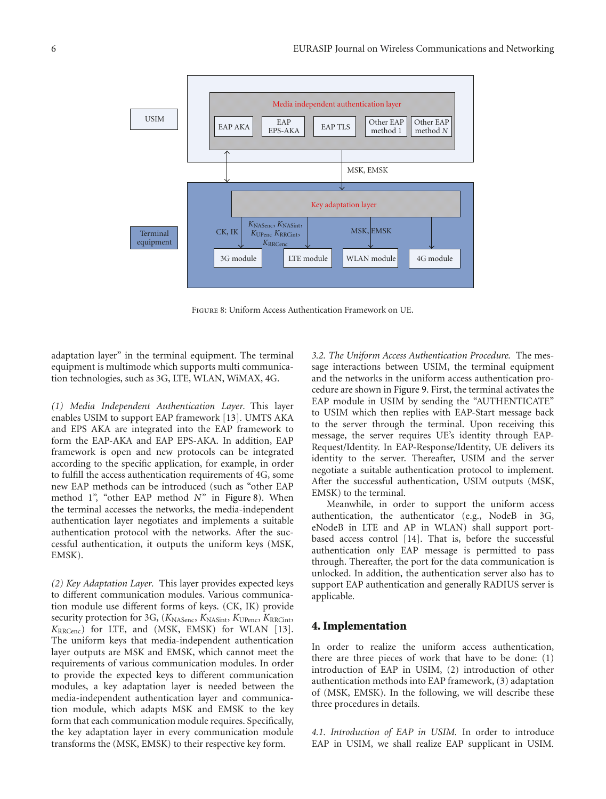

Figure 8: Uniform Access Authentication Framework on UE.

adaptation layer" in the terminal equipment. The terminal equipment is multimode which supports multi communication technologies, such as 3G, LTE, WLAN, WiMAX, 4G.

*(1) Media Independent Authentication Layer.* This layer enables USIM to support EAP framework [13]. UMTS AKA and EPS AKA are integrated into the EAP framework to form the EAP-AKA and EAP EPS-AKA. In addition, EAP framework is open and new protocols can be integrated according to the specific application, for example, in order to fulfill the access authentication requirements of 4G, some new EAP methods can be introduced (such as "other EAP method 1", "other EAP method *N*" in Figure 8). When the terminal accesses the networks, the media-independent authentication layer negotiates and implements a suitable authentication protocol with the networks. After the successful authentication, it outputs the uniform keys (MSK, EMSK).

*(2) Key Adaptation Layer.* This layer provides expected keys to different communication modules. Various communication module use different forms of keys. (CK, IK) provide security protection for 3G, ( $K_{\text{NASenc}}$ ,  $K_{\text{NASint}}$ ,  $K_{\text{UPenc}}$ ,  $K_{\text{RRCint}}$ , *K*RRCenc) for LTE, and (MSK, EMSK) for WLAN [13]. The uniform keys that media-independent authentication layer outputs are MSK and EMSK, which cannot meet the requirements of various communication modules. In order to provide the expected keys to different communication modules, a key adaptation layer is needed between the media-independent authentication layer and communication module, which adapts MSK and EMSK to the key form that each communication module requires. Specifically, the key adaptation layer in every communication module transforms the (MSK, EMSK) to their respective key form.

*3.2. The Uniform Access Authentication Procedure.* The message interactions between USIM, the terminal equipment and the networks in the uniform access authentication procedure are shown in Figure 9. First, the terminal activates the EAP module in USIM by sending the "AUTHENTICATE" to USIM which then replies with EAP-Start message back to the server through the terminal. Upon receiving this message, the server requires UE's identity through EAP-Request/Identity. In EAP-Response/Identity, UE delivers its identity to the server. Thereafter, USIM and the server negotiate a suitable authentication protocol to implement. After the successful authentication, USIM outputs (MSK, EMSK) to the terminal.

Meanwhile, in order to support the uniform access authentication, the authenticator (e.g., NodeB in 3G, eNodeB in LTE and AP in WLAN) shall support portbased access control [14]. That is, before the successful authentication only EAP message is permitted to pass through. Thereafter, the port for the data communication is unlocked. In addition, the authentication server also has to support EAP authentication and generally RADIUS server is applicable.

#### **4. Implementation**

In order to realize the uniform access authentication, there are three pieces of work that have to be done: (1) introduction of EAP in USIM, (2) introduction of other authentication methods into EAP framework, (3) adaptation of (MSK, EMSK). In the following, we will describe these three procedures in details.

*4.1. Introduction of EAP in USIM.* In order to introduce EAP in USIM, we shall realize EAP supplicant in USIM.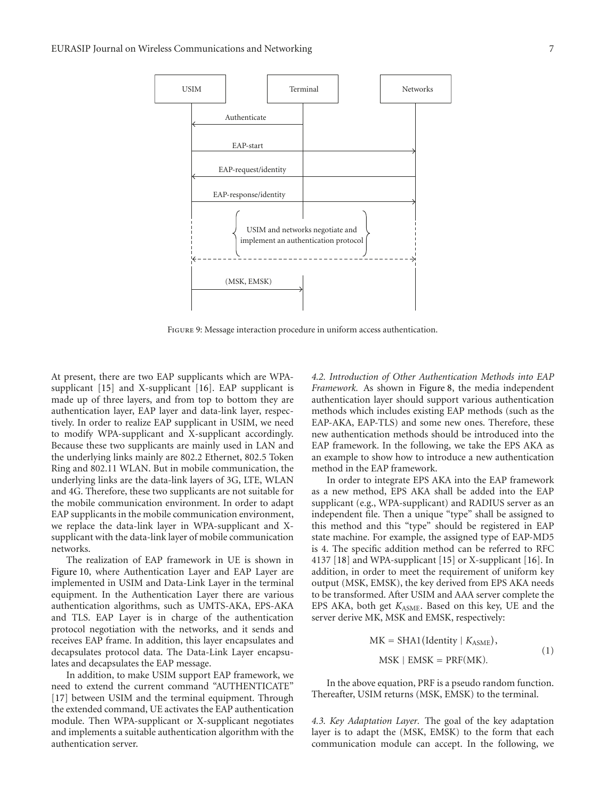

Figure 9: Message interaction procedure in uniform access authentication.

At present, there are two EAP supplicants which are WPAsupplicant [15] and X-supplicant [16]. EAP supplicant is made up of three layers, and from top to bottom they are authentication layer, EAP layer and data-link layer, respectively. In order to realize EAP supplicant in USIM, we need to modify WPA-supplicant and X-supplicant accordingly. Because these two supplicants are mainly used in LAN and the underlying links mainly are 802.2 Ethernet, 802.5 Token Ring and 802.11 WLAN. But in mobile communication, the underlying links are the data-link layers of 3G, LTE, WLAN and 4G. Therefore, these two supplicants are not suitable for the mobile communication environment. In order to adapt EAP supplicants in the mobile communication environment, we replace the data-link layer in WPA-supplicant and Xsupplicant with the data-link layer of mobile communication networks.

The realization of EAP framework in UE is shown in Figure 10, where Authentication Layer and EAP Layer are implemented in USIM and Data-Link Layer in the terminal equipment. In the Authentication Layer there are various authentication algorithms, such as UMTS-AKA, EPS-AKA and TLS. EAP Layer is in charge of the authentication protocol negotiation with the networks, and it sends and receives EAP frame. In addition, this layer encapsulates and decapsulates protocol data. The Data-Link Layer encapsulates and decapsulates the EAP message.

In addition, to make USIM support EAP framework, we need to extend the current command "AUTHENTICATE" [17] between USIM and the terminal equipment. Through the extended command, UE activates the EAP authentication module. Then WPA-supplicant or X-supplicant negotiates and implements a suitable authentication algorithm with the authentication server.

*4.2. Introduction of Other Authentication Methods into EAP Framework.* As shown in Figure 8, the media independent authentication layer should support various authentication methods which includes existing EAP methods (such as the EAP-AKA, EAP-TLS) and some new ones. Therefore, these new authentication methods should be introduced into the EAP framework. In the following, we take the EPS AKA as an example to show how to introduce a new authentication method in the EAP framework.

In order to integrate EPS AKA into the EAP framework as a new method, EPS AKA shall be added into the EAP supplicant (e.g., WPA-supplicant) and RADIUS server as an independent file. Then a unique "type" shall be assigned to this method and this "type" should be registered in EAP state machine. For example, the assigned type of EAP-MD5 is 4. The specific addition method can be referred to RFC 4137 [18] and WPA-supplicant [15] or X-supplicant [16]. In addition, in order to meet the requirement of uniform key output (MSK, EMSK), the key derived from EPS AKA needs to be transformed. After USIM and AAA server complete the EPS AKA, both get *K*ASME. Based on this key, UE and the server derive MK, MSK and EMSK, respectively:

$$
MK = SHA1 (Identity | KASME),MSK | EMSK = PRF(MK).
$$
 (1)

In the above equation, PRF is a pseudo random function. Thereafter, USIM returns (MSK, EMSK) to the terminal.

*4.3. Key Adaptation Layer.* The goal of the key adaptation layer is to adapt the (MSK, EMSK) to the form that each communication module can accept. In the following, we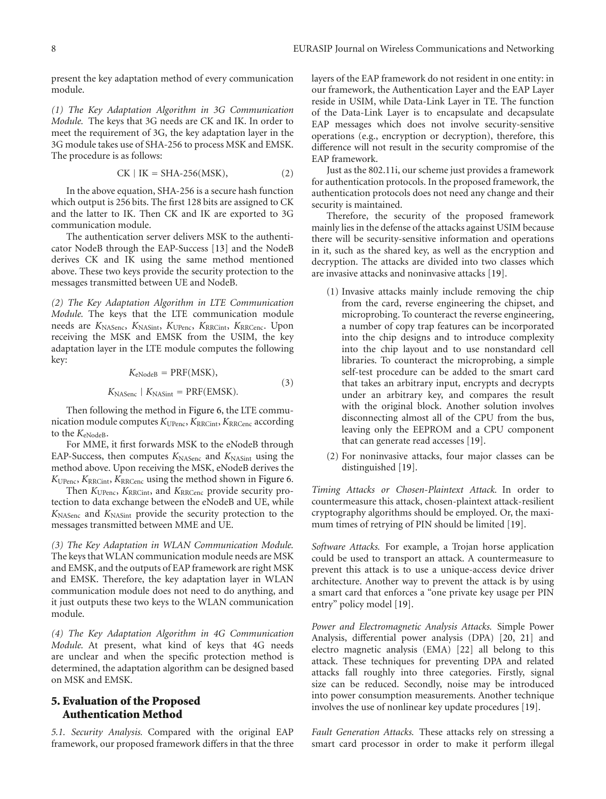present the key adaptation method of every communication module.

*(1) The Key Adaptation Algorithm in 3G Communication Module.* The keys that 3G needs are CK and IK. In order to meet the requirement of 3G, the key adaptation layer in the 3G module takes use of SHA-256 to process MSK and EMSK. The procedure is as follows:

$$
CK | IK = SHA-256(MSK), \qquad (2)
$$

In the above equation, SHA-256 is a secure hash function which output is 256 bits. The first 128 bits are assigned to CK and the latter to IK. Then CK and IK are exported to 3G communication module.

The authentication server delivers MSK to the authenticator NodeB through the EAP-Success [13] and the NodeB derives CK and IK using the same method mentioned above. These two keys provide the security protection to the messages transmitted between UE and NodeB.

*(2) The Key Adaptation Algorithm in LTE Communication Module.* The keys that the LTE communication module needs are *K*<sub>NASenc</sub>, *K*<sub>NASint</sub>, *K*<sub>UPenc</sub>, *K*<sub>RRCint</sub>, *K*<sub>RRCenc</sub>. Upon receiving the MSK and EMSK from the USIM, the key adaptation layer in the LTE module computes the following key:

$$
K_{\text{eNodeB}} = \text{PRF(MSK)},
$$
  

$$
K_{\text{NASenc}} \mid K_{\text{NASint}} = \text{PRF(EMSK)}.
$$
 (3)

Then following the method in Figure 6, the LTE communication module computes  $K_{\text{UPenc}}$ ,  $K_{\text{RRCint}}$ ,  $K_{\text{RRCenc}}$  according to the  $K_{\text{eNodeB}}$ .

For MME, it first forwards MSK to the eNodeB through EAP-Success, then computes  $K_{\text{NASenc}}$  and  $K_{\text{NASint}}$  using the method above. Upon receiving the MSK, eNodeB derives the *K*UPenc, *K*RRCint, *K*RRCenc using the method shown in Figure 6.

Then  $K_{\text{UPenc}}$ ,  $K_{\text{RRCint}}$ , and  $K_{\text{RRCenc}}$  provide security protection to data exchange between the eNodeB and UE, while *K*NASenc and *K*NASint provide the security protection to the messages transmitted between MME and UE.

*(3) The Key Adaptation in WLAN Communication Module.* The keys that WLAN communication module needs are MSK and EMSK, and the outputs of EAP framework are right MSK and EMSK. Therefore, the key adaptation layer in WLAN communication module does not need to do anything, and it just outputs these two keys to the WLAN communication module.

*(4) The Key Adaptation Algorithm in 4G Communication Module.* At present, what kind of keys that 4G needs are unclear and when the specific protection method is determined, the adaptation algorithm can be designed based on MSK and EMSK.

# **5. Evaluation of the Proposed Authentication Method**

*5.1. Security Analysis.* Compared with the original EAP framework, our proposed framework differs in that the three layers of the EAP framework do not resident in one entity: in our framework, the Authentication Layer and the EAP Layer reside in USIM, while Data-Link Layer in TE. The function of the Data-Link Layer is to encapsulate and decapsulate EAP messages which does not involve security-sensitive operations (e.g., encryption or decryption), therefore, this difference will not result in the security compromise of the EAP framework.

Just as the 802.11i, our scheme just provides a framework for authentication protocols. In the proposed framework, the authentication protocols does not need any change and their security is maintained.

Therefore, the security of the proposed framework mainly lies in the defense of the attacks against USIM because there will be security-sensitive information and operations in it, such as the shared key, as well as the encryption and decryption. The attacks are divided into two classes which are invasive attacks and noninvasive attacks [19].

- (1) Invasive attacks mainly include removing the chip from the card, reverse engineering the chipset, and microprobing. To counteract the reverse engineering, a number of copy trap features can be incorporated into the chip designs and to introduce complexity into the chip layout and to use nonstandard cell libraries. To counteract the microprobing, a simple self-test procedure can be added to the smart card that takes an arbitrary input, encrypts and decrypts under an arbitrary key, and compares the result with the original block. Another solution involves disconnecting almost all of the CPU from the bus, leaving only the EEPROM and a CPU component that can generate read accesses [19].
- (2) For noninvasive attacks, four major classes can be distinguished [19].

*Timing Attacks or Chosen-Plaintext Attack.* In order to countermeasure this attack, chosen-plaintext attack-resilient cryptography algorithms should be employed. Or, the maximum times of retrying of PIN should be limited [19].

*Software Attacks.* For example, a Trojan horse application could be used to transport an attack. A countermeasure to prevent this attack is to use a unique-access device driver architecture. Another way to prevent the attack is by using a smart card that enforces a "one private key usage per PIN entry" policy model [19].

*Power and Electromagnetic Analysis Attacks.* Simple Power Analysis, differential power analysis (DPA) [20, 21] and electro magnetic analysis (EMA) [22] all belong to this attack. These techniques for preventing DPA and related attacks fall roughly into three categories. Firstly, signal size can be reduced. Secondly, noise may be introduced into power consumption measurements. Another technique involves the use of nonlinear key update procedures [19].

*Fault Generation Attacks.* These attacks rely on stressing a smart card processor in order to make it perform illegal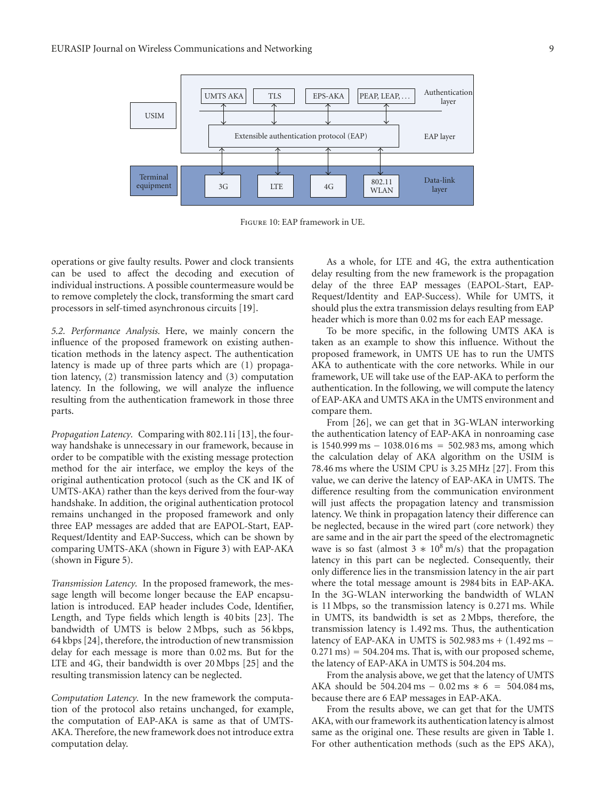

Figure 10: EAP framework in UE.

operations or give faulty results. Power and clock transients can be used to affect the decoding and execution of individual instructions. A possible countermeasure would be to remove completely the clock, transforming the smart card processors in self-timed asynchronous circuits [19].

*5.2. Performance Analysis.* Here, we mainly concern the influence of the proposed framework on existing authentication methods in the latency aspect. The authentication latency is made up of three parts which are (1) propagation latency, (2) transmission latency and (3) computation latency. In the following, we will analyze the influence resulting from the authentication framework in those three parts.

*Propagation Latency.* Comparing with 802.11i [13], the fourway handshake is unnecessary in our framework, because in order to be compatible with the existing message protection method for the air interface, we employ the keys of the original authentication protocol (such as the CK and IK of UMTS-AKA) rather than the keys derived from the four-way handshake. In addition, the original authentication protocol remains unchanged in the proposed framework and only three EAP messages are added that are EAPOL-Start, EAP-Request/Identity and EAP-Success, which can be shown by comparing UMTS-AKA (shown in Figure 3) with EAP-AKA (shown in Figure 5).

*Transmission Latency.* In the proposed framework, the message length will become longer because the EAP encapsulation is introduced. EAP header includes Code, Identifier, Length, and Type fields which length is 40 bits [23]. The bandwidth of UMTS is below 2 Mbps, such as 56 kbps, 64 kbps [24], therefore, the introduction of new transmission delay for each message is more than 0.02 ms. But for the LTE and 4G, their bandwidth is over 20 Mbps [25] and the resulting transmission latency can be neglected.

*Computation Latency.* In the new framework the computation of the protocol also retains unchanged, for example, the computation of EAP-AKA is same as that of UMTS-AKA. Therefore, the new framework does not introduce extra computation delay.

As a whole, for LTE and 4G, the extra authentication delay resulting from the new framework is the propagation delay of the three EAP messages (EAPOL-Start, EAP-Request/Identity and EAP-Success). While for UMTS, it should plus the extra transmission delays resulting from EAP header which is more than 0.02 ms for each EAP message.

To be more specific, in the following UMTS AKA is taken as an example to show this influence. Without the proposed framework, in UMTS UE has to run the UMTS AKA to authenticate with the core networks. While in our framework, UE will take use of the EAP-AKA to perform the authentication. In the following, we will compute the latency of EAP-AKA and UMTS AKA in the UMTS environment and compare them.

From [26], we can get that in 3G-WLAN interworking the authentication latency of EAP-AKA in nonroaming case is 1540*.*999 ms − 1038*.*016 ms = 502*.*983 ms, among which the calculation delay of AKA algorithm on the USIM is 78.46 ms where the USIM CPU is 3.25 MHz [27]. From this value, we can derive the latency of EAP-AKA in UMTS. The difference resulting from the communication environment will just affects the propagation latency and transmission latency. We think in propagation latency their difference can be neglected, because in the wired part (core network) they are same and in the air part the speed of the electromagnetic wave is so fast (almost  $3 * 10^8$  m/s) that the propagation latency in this part can be neglected. Consequently, their only difference lies in the transmission latency in the air part where the total message amount is 2984 bits in EAP-AKA. In the 3G-WLAN interworking the bandwidth of WLAN is 11 Mbps, so the transmission latency is 0.271 ms. While in UMTS, its bandwidth is set as 2 Mbps, therefore, the transmission latency is 1.492 ms. Thus, the authentication latency of EAP-AKA in UMTS is 502*.*983 ms + (1*.*492 ms − 0*.*271 ms) = 504*.*204 ms. That is, with our proposed scheme, the latency of EAP-AKA in UMTS is 504.204 ms.

From the analysis above, we get that the latency of UMTS AKA should be 504*.*204 ms − 0*.*02 ms ∗ 6 = 504*.*084 ms, because there are 6 EAP messages in EAP-AKA.

From the results above, we can get that for the UMTS AKA, with our framework its authentication latency is almost same as the original one. These results are given in Table 1. For other authentication methods (such as the EPS AKA),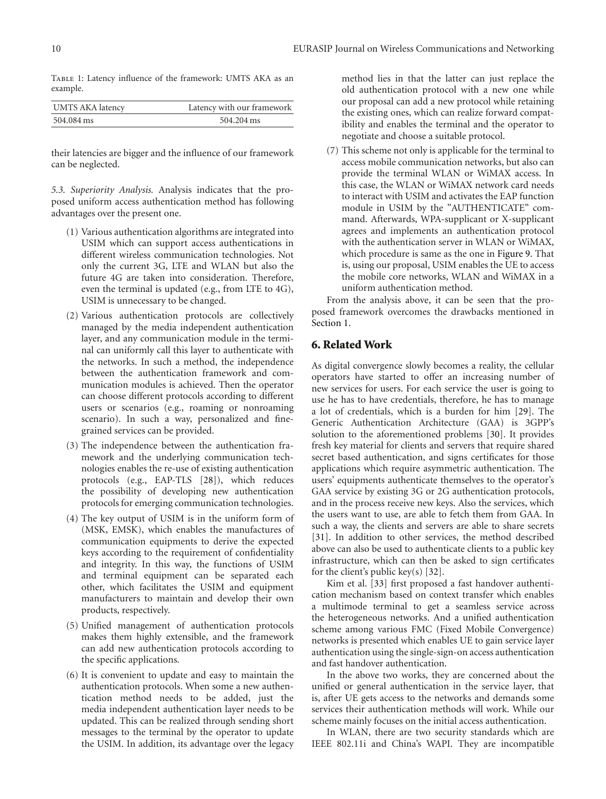Table 1: Latency influence of the framework: UMTS AKA as an example.

| UMTS AKA latency | Latency with our framework |
|------------------|----------------------------|
| 504.084 ms       | 504.204 ms                 |

their latencies are bigger and the influence of our framework can be neglected.

*5.3. Superiority Analysis.* Analysis indicates that the proposed uniform access authentication method has following advantages over the present one.

- (1) Various authentication algorithms are integrated into USIM which can support access authentications in different wireless communication technologies. Not only the current 3G, LTE and WLAN but also the future 4G are taken into consideration. Therefore, even the terminal is updated (e.g., from LTE to 4G), USIM is unnecessary to be changed.
- (2) Various authentication protocols are collectively managed by the media independent authentication layer, and any communication module in the terminal can uniformly call this layer to authenticate with the networks. In such a method, the independence between the authentication framework and communication modules is achieved. Then the operator can choose different protocols according to different users or scenarios (e.g., roaming or nonroaming scenario). In such a way, personalized and finegrained services can be provided.
- (3) The independence between the authentication framework and the underlying communication technologies enables the re-use of existing authentication protocols (e.g., EAP-TLS [28]), which reduces the possibility of developing new authentication protocols for emerging communication technologies.
- (4) The key output of USIM is in the uniform form of (MSK, EMSK), which enables the manufactures of communication equipments to derive the expected keys according to the requirement of confidentiality and integrity. In this way, the functions of USIM and terminal equipment can be separated each other, which facilitates the USIM and equipment manufacturers to maintain and develop their own products, respectively.
- (5) Unified management of authentication protocols makes them highly extensible, and the framework can add new authentication protocols according to the specific applications.
- (6) It is convenient to update and easy to maintain the authentication protocols. When some a new authentication method needs to be added, just the media independent authentication layer needs to be updated. This can be realized through sending short messages to the terminal by the operator to update the USIM. In addition, its advantage over the legacy

method lies in that the latter can just replace the old authentication protocol with a new one while our proposal can add a new protocol while retaining the existing ones, which can realize forward compatibility and enables the terminal and the operator to negotiate and choose a suitable protocol.

(7) This scheme not only is applicable for the terminal to access mobile communication networks, but also can provide the terminal WLAN or WiMAX access. In this case, the WLAN or WiMAX network card needs to interact with USIM and activates the EAP function module in USIM by the "AUTHENTICATE" command. Afterwards, WPA-supplicant or X-supplicant agrees and implements an authentication protocol with the authentication server in WLAN or WiMAX, which procedure is same as the one in Figure 9. That is, using our proposal, USIM enables the UE to access the mobile core networks, WLAN and WiMAX in a uniform authentication method.

From the analysis above, it can be seen that the proposed framework overcomes the drawbacks mentioned in Section 1.

# **6. Related Work**

As digital convergence slowly becomes a reality, the cellular operators have started to offer an increasing number of new services for users. For each service the user is going to use he has to have credentials, therefore, he has to manage a lot of credentials, which is a burden for him [29]. The Generic Authentication Architecture (GAA) is 3GPP's solution to the aforementioned problems [30]. It provides fresh key material for clients and servers that require shared secret based authentication, and signs certificates for those applications which require asymmetric authentication. The users' equipments authenticate themselves to the operator's GAA service by existing 3G or 2G authentication protocols, and in the process receive new keys. Also the services, which the users want to use, are able to fetch them from GAA. In such a way, the clients and servers are able to share secrets [31]. In addition to other services, the method described above can also be used to authenticate clients to a public key infrastructure, which can then be asked to sign certificates for the client's public key(s)  $[32]$ .

Kim et al. [33] first proposed a fast handover authentication mechanism based on context transfer which enables a multimode terminal to get a seamless service across the heterogeneous networks. And a unified authentication scheme among various FMC (Fixed Mobile Convergence) networks is presented which enables UE to gain service layer authentication using the single-sign-on access authentication and fast handover authentication.

In the above two works, they are concerned about the unified or general authentication in the service layer, that is, after UE gets access to the networks and demands some services their authentication methods will work. While our scheme mainly focuses on the initial access authentication.

In WLAN, there are two security standards which are IEEE 802.11i and China's WAPI. They are incompatible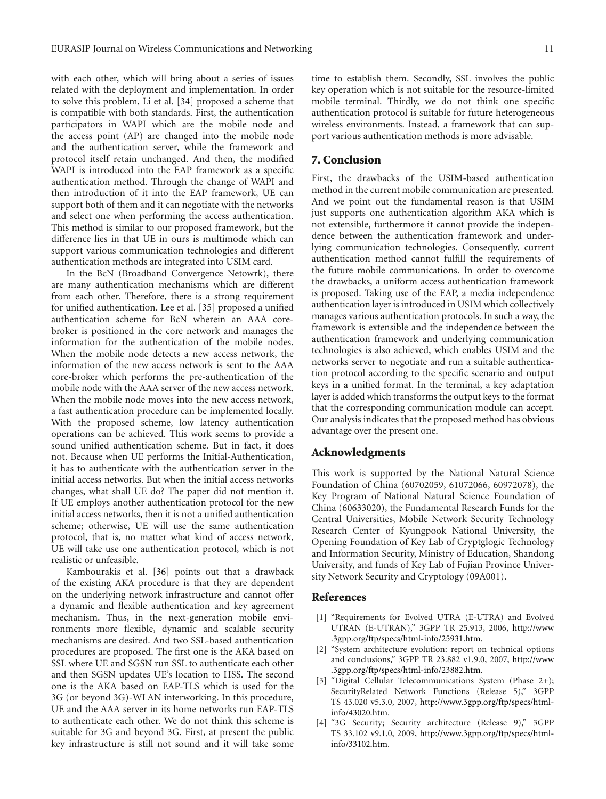with each other, which will bring about a series of issues related with the deployment and implementation. In order to solve this problem, Li et al. [34] proposed a scheme that is compatible with both standards. First, the authentication participators in WAPI which are the mobile node and the access point (AP) are changed into the mobile node and the authentication server, while the framework and protocol itself retain unchanged. And then, the modified WAPI is introduced into the EAP framework as a specific authentication method. Through the change of WAPI and then introduction of it into the EAP framework, UE can support both of them and it can negotiate with the networks and select one when performing the access authentication. This method is similar to our proposed framework, but the difference lies in that UE in ours is multimode which can support various communication technologies and different authentication methods are integrated into USIM card.

In the BcN (Broadband Convergence Netowrk), there are many authentication mechanisms which are different from each other. Therefore, there is a strong requirement for unified authentication. Lee et al. [35] proposed a unified authentication scheme for BcN wherein an AAA corebroker is positioned in the core network and manages the information for the authentication of the mobile nodes. When the mobile node detects a new access network, the information of the new access network is sent to the AAA core-broker which performs the pre-authentication of the mobile node with the AAA server of the new access network. When the mobile node moves into the new access network, a fast authentication procedure can be implemented locally. With the proposed scheme, low latency authentication operations can be achieved. This work seems to provide a sound unified authentication scheme. But in fact, it does not. Because when UE performs the Initial-Authentication, it has to authenticate with the authentication server in the initial access networks. But when the initial access networks changes, what shall UE do? The paper did not mention it. If UE employs another authentication protocol for the new initial access networks, then it is not a unified authentication scheme; otherwise, UE will use the same authentication protocol, that is, no matter what kind of access network, UE will take use one authentication protocol, which is not realistic or unfeasible.

Kambourakis et al. [36] points out that a drawback of the existing AKA procedure is that they are dependent on the underlying network infrastructure and cannot offer a dynamic and flexible authentication and key agreement mechanism. Thus, in the next-generation mobile environments more flexible, dynamic and scalable security mechanisms are desired. And two SSL-based authentication procedures are proposed. The first one is the AKA based on SSL where UE and SGSN run SSL to authenticate each other and then SGSN updates UE's location to HSS. The second one is the AKA based on EAP-TLS which is used for the 3G (or beyond 3G)-WLAN interworking. In this procedure, UE and the AAA server in its home networks run EAP-TLS to authenticate each other. We do not think this scheme is suitable for 3G and beyond 3G. First, at present the public key infrastructure is still not sound and it will take some

time to establish them. Secondly, SSL involves the public key operation which is not suitable for the resource-limited mobile terminal. Thirdly, we do not think one specific authentication protocol is suitable for future heterogeneous wireless environments. Instead, a framework that can support various authentication methods is more advisable.

## **7. Conclusion**

First, the drawbacks of the USIM-based authentication method in the current mobile communication are presented. And we point out the fundamental reason is that USIM just supports one authentication algorithm AKA which is not extensible, furthermore it cannot provide the independence between the authentication framework and underlying communication technologies. Consequently, current authentication method cannot fulfill the requirements of the future mobile communications. In order to overcome the drawbacks, a uniform access authentication framework is proposed. Taking use of the EAP, a media independence authentication layer is introduced in USIM which collectively manages various authentication protocols. In such a way, the framework is extensible and the independence between the authentication framework and underlying communication technologies is also achieved, which enables USIM and the networks server to negotiate and run a suitable authentication protocol according to the specific scenario and output keys in a unified format. In the terminal, a key adaptation layer is added which transforms the output keys to the format that the corresponding communication module can accept. Our analysis indicates that the proposed method has obvious advantage over the present one.

#### **Acknowledgments**

This work is supported by the National Natural Science Foundation of China (60702059, 61072066, 60972078), the Key Program of National Natural Science Foundation of China (60633020), the Fundamental Research Funds for the Central Universities, Mobile Network Security Technology Research Center of Kyungpook National University, the Opening Foundation of Key Lab of Cryptglogic Technology and Information Security, Ministry of Education, Shandong University, and funds of Key Lab of Fujian Province University Network Security and Cryptology (09A001).

# **References**

- [1] "Requirements for Evolved UTRA (E-UTRA) and Evolved UTRAN (E-UTRAN)," 3GPP TR 25.913, 2006, http://www .3gpp.org/ftp/specs/html-info/25931.htm.
- [2] "System architecture evolution: report on technical options and conclusions," 3GPP TR 23.882 v1.9.0, 2007, http://www .3gpp.org/ftp/specs/html-info/23882.htm.
- [3] "Digital Cellular Telecommunications System (Phase 2+); SecurityRelated Network Functions (Release 5)," 3GPP TS 43.020 v5.3.0, 2007, http://www.3gpp.org/ftp/specs/htmlinfo/43020.htm.
- [4] "3G Security; Security architecture (Release 9)," 3GPP TS 33.102 v9.1.0, 2009, http://www.3gpp.org/ftp/specs/htmlinfo/33102.htm.